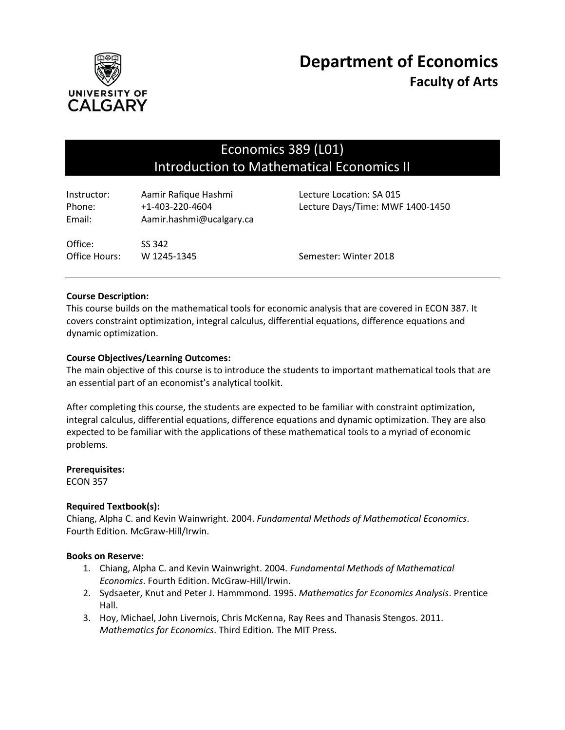

# Economics 389 (L01) Introduction to Mathematical Economics II

| Instructor:<br>Phone:<br>Email: | Aamir Rafique Hashmi<br>+1-403-220-4604<br>Aamir.hashmi@ucalgary.ca | Lecture Location: SA 015<br>Lecture Days/Time: MWF 1400-1450 |
|---------------------------------|---------------------------------------------------------------------|--------------------------------------------------------------|
| Office:<br>Office Hours:        | SS 342<br>W 1245-1345                                               | Semester: Winter 2018                                        |

# **Course Description:**

This course builds on the mathematical tools for economic analysis that are covered in ECON 387. It covers constraint optimization, integral calculus, differential equations, difference equations and dynamic optimization.

## **Course Objectives/Learning Outcomes:**

The main objective of this course is to introduce the students to important mathematical tools that are an essential part of an economist's analytical toolkit.

After completing this course, the students are expected to be familiar with constraint optimization, integral calculus, differential equations, difference equations and dynamic optimization. They are also expected to be familiar with the applications of these mathematical tools to a myriad of economic problems.

#### **Prerequisites:**

ECON 357

## **Required Textbook(s):**

Chiang, Alpha C. and Kevin Wainwright. 2004. *Fundamental Methods of Mathematical Economics*. Fourth Edition. McGraw-Hill/Irwin.

## **Books on Reserve:**

- 1. Chiang, Alpha C. and Kevin Wainwright. 2004*. Fundamental Methods of Mathematical Economics*. Fourth Edition. McGraw-Hill/Irwin.
- 2. Sydsaeter, Knut and Peter J. Hammmond. 1995. *Mathematics for Economics Analysis*. Prentice Hall.
- 3. Hoy, Michael, John Livernois, Chris McKenna, Ray Rees and Thanasis Stengos. 2011. *Mathematics for Economics*. Third Edition. The MIT Press.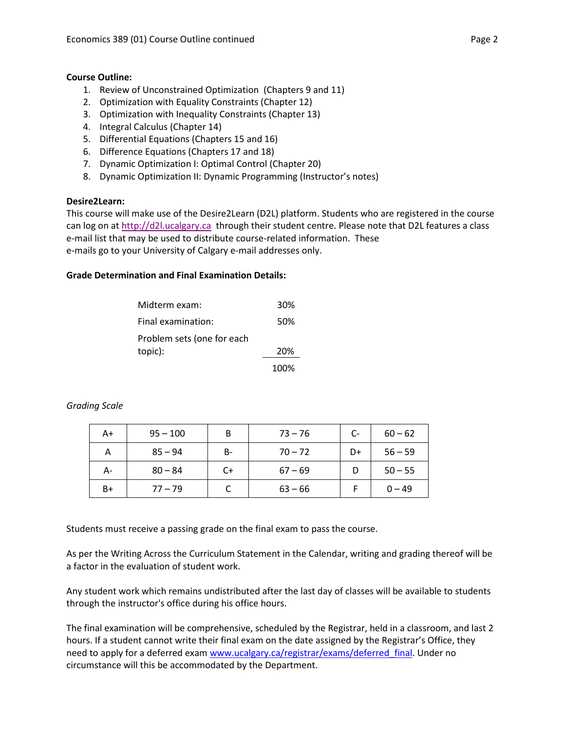# **Course Outline:**

- 1. Review of Unconstrained Optimization (Chapters 9 and 11)
- 2. Optimization with Equality Constraints (Chapter 12)
- 3. Optimization with Inequality Constraints (Chapter 13)
- 4. Integral Calculus (Chapter 14)
- 5. Differential Equations (Chapters 15 and 16)
- 6. Difference Equations (Chapters 17 and 18)
- 7. Dynamic Optimization I: Optimal Control (Chapter 20)
- 8. Dynamic Optimization II: Dynamic Programming (Instructor's notes)

# **Desire2Learn:**

This course will make use of the Desire2Learn (D2L) platform. Students who are registered in the course can log on a[t http://d2l.ucalgary.ca](http://d2l.ucalgary.ca/) through their student centre. Please note that D2L features a class e-mail list that may be used to distribute course-related information. These e-mails go to your University of Calgary e-mail addresses only.

# **Grade Determination and Final Examination Details:**

| Midterm exam:              | 30%  |
|----------------------------|------|
| Final examination:         | 50%  |
| Problem sets (one for each |      |
| topic):                    | 20%  |
|                            | 100% |

| A+   | $95 - 100$ | B     | $73 - 76$ | $C-$ | $60 - 62$ |
|------|------------|-------|-----------|------|-----------|
| А    | $85 - 94$  | $B -$ | $70 - 72$ | D+   | $56 - 59$ |
| А-   | $80 - 84$  | $C+$  | $67 - 69$ |      | $50 - 55$ |
| $B+$ | $77 - 79$  |       | $63 - 66$ |      | $0 - 49$  |

# *Grading Scale*

Students must receive a passing grade on the final exam to pass the course.

As per the Writing Across the Curriculum Statement in the Calendar, writing and grading thereof will be a factor in the evaluation of student work.

Any student work which remains undistributed after the last day of classes will be available to students through the instructor's office during his office hours.

The final examination will be comprehensive, scheduled by the Registrar, held in a classroom, and last 2 hours. If a student cannot write their final exam on the date assigned by the Registrar's Office, they need to apply for a deferred exam [www.ucalgary.ca/registrar/exams/deferred\\_final.](http://www.ucalgary.ca/registrar/exams/deferred_final) Under no circumstance will this be accommodated by the Department.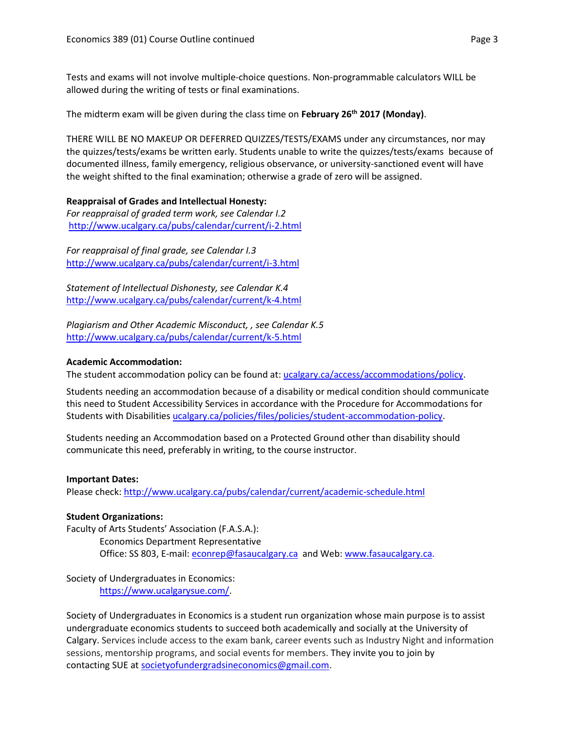Tests and exams will not involve multiple-choice questions. Non-programmable calculators WILL be allowed during the writing of tests or final examinations.

The midterm exam will be given during the class time on **February 26 th 2017 (Monday)**.

THERE WILL BE NO MAKEUP OR DEFERRED QUIZZES/TESTS/EXAMS under any circumstances, nor may the quizzes/tests/exams be written early. Students unable to write the quizzes/tests/exams because of documented illness, family emergency, religious observance, or university-sanctioned event will have the weight shifted to the final examination; otherwise a grade of zero will be assigned.

# **Reappraisal of Grades and Intellectual Honesty:**

*For reappraisal of graded term work, see Calendar I.2* <http://www.ucalgary.ca/pubs/calendar/current/i-2.html>

*For reappraisal of final grade, see Calendar I.3* <http://www.ucalgary.ca/pubs/calendar/current/i-3.html>

*Statement of Intellectual Dishonesty, see Calendar K.4* <http://www.ucalgary.ca/pubs/calendar/current/k-4.html>

*Plagiarism and Other Academic Misconduct, , see Calendar K.5* <http://www.ucalgary.ca/pubs/calendar/current/k-5.html>

# **Academic Accommodation:**

The student accommodation policy can be found at: [ucalgary.ca/access/accommodations/policy.](http://www.ucalgary.ca/access/accommodations/policy)

Students needing an accommodation because of a disability or medical condition should communicate this need to Student Accessibility Services in accordance with the Procedure for Accommodations for Students with Disabilities [ucalgary.ca/policies/files/policies/student-accommodation-policy.](http://www.ucalgary.ca/policies/files/policies/student-accommodation-policy.pdf)

Students needing an Accommodation based on a Protected Ground other than disability should communicate this need, preferably in writing, to the course instructor.

## **Important Dates:**

Please check:<http://www.ucalgary.ca/pubs/calendar/current/academic-schedule.html>

# **Student Organizations:**

Faculty of Arts Students' Association (F.A.S.A.): Economics Department Representative Office: SS 803, E-mail: [econrep@fasaucalgary.ca](mailto:econrep@fasaucalgary.ca) and Web[: www.fasaucalgary.ca.](http://www.fasaucalgary.ca/)

Society of Undergraduates in Economics: [https://www.ucalgarysue.com/.](https://www.ucalgarysue.com/)

Society of Undergraduates in Economics is a student run organization whose main purpose is to assist undergraduate economics students to succeed both academically and socially at the University of Calgary. Services include access to the exam bank, career events such as Industry Night and information sessions, mentorship programs, and social events for members. They invite you to join by contacting SUE at [societyofundergradsineconomics@gmail.com.](mailto:societyofundergradsineconomics@gmail.com)